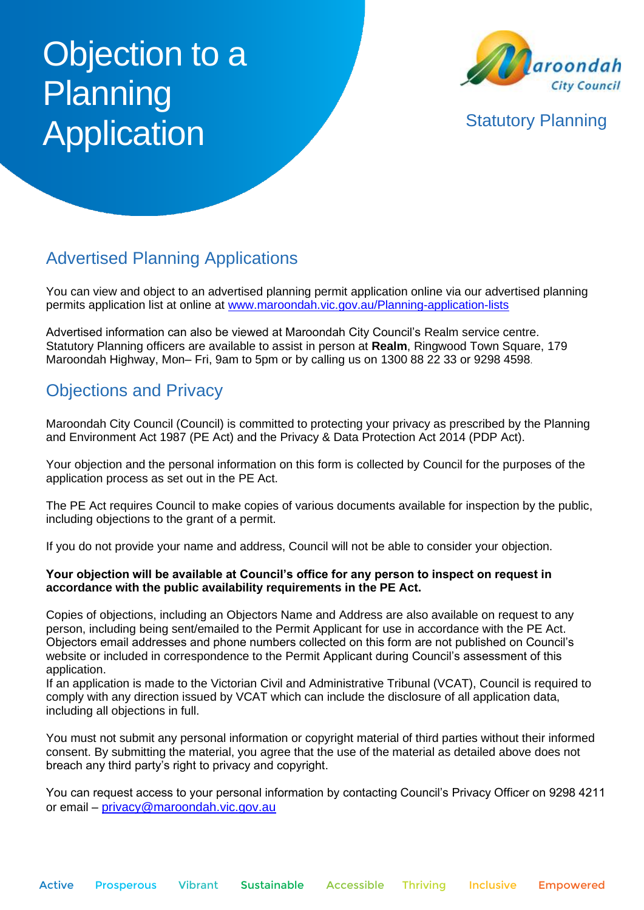# Objection to a **Planning** Application Statutory Planning



## Advertised Planning Applications

You can view and object to an advertised planning permit application online via our advertised planning permits application list at online at [www.maroondah.vic.gov.au/Planning-application-lists](http://www.maroondah.vic.gov.au/Planning-application-lists)

Advertised information can also be viewed at Maroondah City Council's Realm service centre. Statutory Planning officers are available to assist in person at **Realm**, Ringwood Town Square, 179 Maroondah Highway, Mon– Fri, 9am to 5pm or by calling us on 1300 88 22 33 or 9298 4598.

## Objections and Privacy

Maroondah City Council (Council) is committed to protecting your privacy as prescribed by the Planning and Environment Act 1987 (PE Act) and the Privacy & Data Protection Act 2014 (PDP Act).

Your objection and the personal information on this form is collected by Council for the purposes of the application process as set out in the PE Act.

The PE Act requires Council to make copies of various documents available for inspection by the public, including objections to the grant of a permit.

If you do not provide your name and address, Council will not be able to consider your objection.

#### **Your objection will be available at Council's office for any person to inspect on request in accordance with the public availability requirements in the PE Act.**

Copies of objections, including an Objectors Name and Address are also available on request to any person, including being sent/emailed to the Permit Applicant for use in accordance with the PE Act. Objectors email addresses and phone numbers collected on this form are not published on Council's website or included in correspondence to the Permit Applicant during Council's assessment of this application.

If an application is made to the Victorian Civil and Administrative Tribunal (VCAT), Council is required to comply with any direction issued by VCAT which can include the disclosure of all application data, including all objections in full.

You must not submit any personal information or copyright material of third parties without their informed consent. By submitting the material, you agree that the use of the material as detailed above does not breach any third party's right to privacy and copyright.

You can request access to your personal information by contacting Council's Privacy Officer on 9298 4211 or email – [privacy@maroondah.vic.gov.au](mailto:privacy@maroondah.vic.gov.au)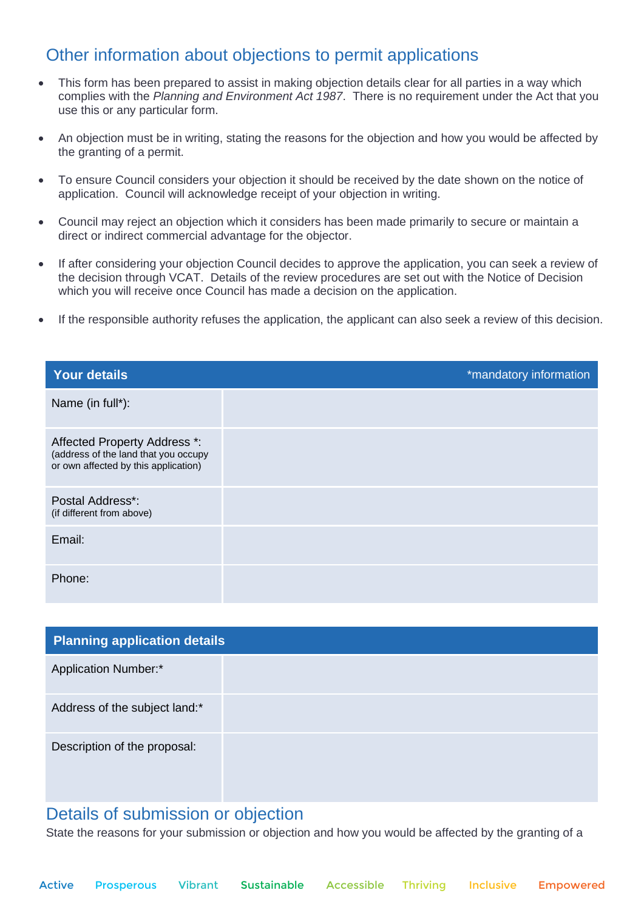## Other information about objections to permit applications

- This form has been prepared to assist in making objection details clear for all parties in a way which complies with the *Planning and Environment Act 1987*. There is no requirement under the Act that you use this or any particular form.
- An objection must be in writing, stating the reasons for the objection and how you would be affected by the granting of a permit.
- To ensure Council considers your objection it should be received by the date shown on the notice of application. Council will acknowledge receipt of your objection in writing.
- Council may reject an objection which it considers has been made primarily to secure or maintain a direct or indirect commercial advantage for the objector.
- If after considering your objection Council decides to approve the application, you can seek a review of the decision through VCAT. Details of the review procedures are set out with the Notice of Decision which you will receive once Council has made a decision on the application.
- If the responsible authority refuses the application, the applicant can also seek a review of this decision.

| <b>Your details</b>                                                                                          | *mandatory information |
|--------------------------------------------------------------------------------------------------------------|------------------------|
| Name (in full*):                                                                                             |                        |
| Affected Property Address *:<br>(address of the land that you occupy<br>or own affected by this application) |                        |
| Postal Address*:<br>(if different from above)                                                                |                        |
| Email:                                                                                                       |                        |
| Phone:                                                                                                       |                        |

| <b>Planning application details</b> |  |  |
|-------------------------------------|--|--|
| <b>Application Number:*</b>         |  |  |
| Address of the subject land:*       |  |  |
| Description of the proposal:        |  |  |

### Details of submission or objection

State the reasons for your submission or objection and how you would be affected by the granting of a